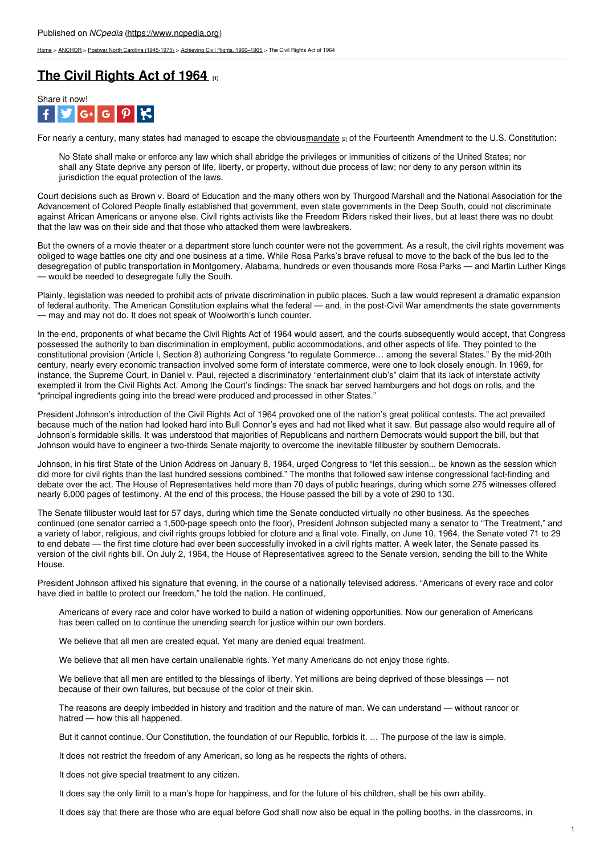[Home](https://www.ncpedia.org/) > [ANCHOR](https://www.ncpedia.org/anchor/anchor) > Postwar North Carolina [\(1945-1975\)](https://www.ncpedia.org/anchor/postwar-north-carolina-1945) > Achieving Civil Rights, [1960–1965](https://www.ncpedia.org/anchor/achieving-civil-rights-1960) > The Civil Rights Act of 1964

## **The Civil [Rights](https://www.ncpedia.org/anchor/civil-rights-act-1964) Act of 1964 [1]**



For nearly a century, many states had managed to escape the obvious $\frac{m}{2}$  of the Fourteenth Amendment to the U.S. Constitution:

No State shall make or enforce any law which shall abridge the privileges or immunities of citizens of the United States; nor shall any State deprive any person of life, liberty, or property, without due process of law; nor deny to any person within its jurisdiction the equal protection of the laws.

Court decisions such as Brown v. Board of Education and the many others won by Thurgood Marshall and the National Association for the Advancement of Colored People finally established that government, even state governments in the Deep South, could not discriminate against African Americans or anyone else. Civil rights activists like the Freedom Riders risked their lives, but at least there was no doubt that the law was on their side and that those who attacked them were lawbreakers.

But the owners of a movie theater or a [department](http://www.social9.com) store lunch counter were not the government. As a result, the civil rights movement was obliged to wage battles one city and one business at a time. While Rosa Parks's brave refusal to move to the back of the bus led to the desegregation of public transportation in Montgomery, Alabama, hundreds or even thousands more Rosa Parks — and Martin Luther Kings — would be needed to desegregate fully the South.

Plainly, legislation was needed to prohibit acts of private discrimination in public places. Such a law would represent a dramatic expansion of federal authority. The American Constitution explains what the federal — and, in the post-Civil War amendments the state governments — may and may not do. It does not speak of Woolworth's lunch counter.

In the end, proponents of what became the Civil Rights Act of 1964 would assert, and the courts subsequently would accept, that Congress possessed the authority to ban discrimination in employment, public accommodations, and other aspects of life. They pointed to the constitutional provision (Article I, Section 8) authorizing Congress "to regulate Commerce… among the several States." By the mid-20th century, nearly every economic transaction involved some form of interstate commerce, were one to look closely enough. In 1969, for instance, the Supreme Court, in Daniel v. Paul, rejected a discriminatory "entertainment club's" claim that its lack of interstate activity exempted it from the Civil Rights Act. Among the Court's findings: The snack bar served hamburgers and hot dogs on rolls, and the "principal ingredients going into the bread were produced and processed in other States."

President Johnson's introduction of the Civil Rights Act of 1964 provoked one of the nation's great political contests. The act prevailed because much of the nation had looked hard into Bull Connor's eyes and had not liked what it saw. But passage also would require all of Johnson's formidable skills. It was understood that majorities of Republicans and northern Democrats would support the bill, but that Johnson would have to engineer a two-thirds Senate majority to overcome the inevitable filibuster by southern Democrats.

Johnson, in his first State of the Union Address on January 8, 1964, urged Congress to "let this session... be known as the session which did more for civil rights than the last hundred sessions combined." The months that followed saw intense congressional fact-finding and debate over the act. The House of Representatives held more than 70 days of public hearings, during which some 275 witnesses offered nearly 6,000 pages of testimony. At the end of this process, the House passed the bill by a vote of 290 to 130.

The Senate filibuster would last for 57 days, during which time the Senate conducted virtually no other business. As the speeches continued (one senator carried a 1,500-page speech onto the floor), President Johnson subjected many a senator to "The Treatment," and a variety of labor, religious, and civil rights groups lobbied for cloture and a final vote. Finally, on June 10, 1964, the Senate voted 71 to 29 to end debate — the first time cloture had ever been successfully invoked in a civil rights matter. A week later, the Senate passed its version of the civil rights bill. On July 2, 1964, the House of Representatives agreed to the Senate version, sending the bill to the White House.

President Johnson affixed his signature that evening, in the course of a nationally televised address. "Americans of every race and color have died in battle to protect our freedom," he told the nation. He continued,

Americans of every race and color have worked to build a nation of widening opportunities. Now our generation of Americans has been called on to continue the unending search for justice within our own borders.

We believe that all men are created equal. Yet many are denied equal treatment.

We believe that all men have certain unalienable rights. Yet many Americans do not enjoy those rights.

We believe that all men are entitled to the blessings of liberty. Yet millions are being deprived of those blessings — not because of their own failures, but because of the color of their skin.

The reasons are deeply imbedded in history and tradition and the nature of man. We can understand — without rancor or hatred — how this all happened.

But it cannot continue. Our Constitution, the foundation of our Republic, forbids it. … The purpose of the law is simple.

It does not restrict the freedom of any American, so long as he respects the rights of others.

It does not give special treatment to any citizen.

It does say the only limit to a man's hope for happiness, and for the future of his children, shall be his own ability.

It does say that there are those who are equal before God shall now also be equal in the polling booths, in the classrooms, in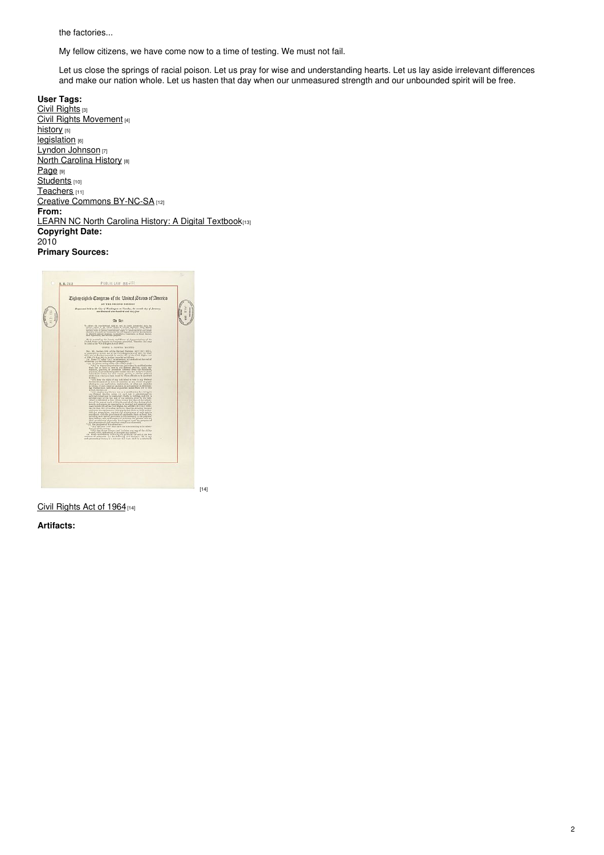the factories...

My fellow citizens, we have come now to a time of testing. We must not fail.

Let us close the springs of racial poison. Let us pray for wise and understanding hearts. Let us lay aside irrelevant differences and make our nation whole. Let us hasten that day when our unmeasured strength and our unbounded spirit will be free.

**User Tags:** Civil [Rights](https://www.ncpedia.org/category/user-tags/civil-rights) [3] Civil Rights [Movement](https://www.ncpedia.org/category/user-tags/civil-rights-0) [4] [history](https://www.ncpedia.org/category/user-tags/history) [5] [legislation](https://www.ncpedia.org/category/user-tags/legislation) [6] Lyndon [Johnson](https://www.ncpedia.org/category/user-tags/lyndon-johnson) [7] North [Carolina](https://www.ncpedia.org/category/user-tags/north-carolina-6) History [8] [Page](https://www.ncpedia.org/category/user-tags/page) [9] [Students](https://www.ncpedia.org/category/user-tags/students) [10] [Teachers](https://www.ncpedia.org/category/user-tags/teachers) [11] Creative Commons [BY-NC-SA](https://www.ncpedia.org/category/user-tags/creative-commons) [12] **From:** LEARN NC North Carolina History: A Digital [Textbook](https://www.ncpedia.org/category/entry-source/learn-nc)[13] **Copyright Date:** 2010 **Primary Sources:**



[14]

Civil [Rights](https://www.docsteach.org/documents/document/civil-rights-act-of-1964) Act of 1964<sup>[14]</sup>

**Artifacts:**